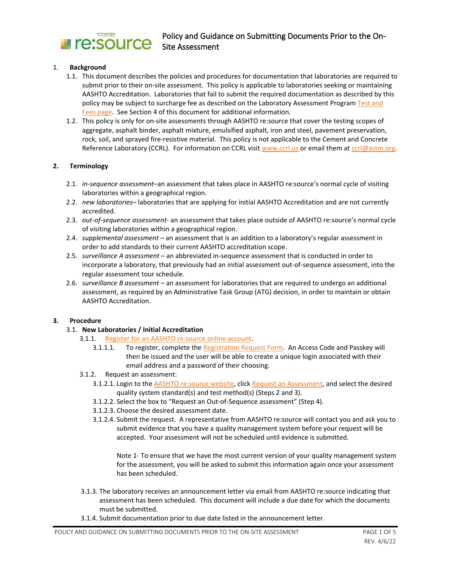

## 1. **Background**

- 1.1. This document describes the policies and procedures for documentation that laboratories are required to submit prior to their on-site assessment. This policy is applicable to laboratories seeking or maintaining AASHTO Accreditation. Laboratories that fail to submit the required documentation as described by this policy may be subject to surcharge fee as described on the Laboratory Assessment Program Test and [Fees page.](http://aashtoresource.org/lap/tests-and-fees) See Section 4 of this document for additional information.
- 1.2. This policy is only for on-site assessments through AASHTO re:source that cover the testing scopes of aggregate, asphalt binder, asphalt mixture, emulsified asphalt, iron and steel, pavement preservation, rock, soil, and sprayed fire-resistive material. This policy is not applicable to the Cement and Concrete Reference Laboratory (CCRL). For information on CCRL visi[t www.ccrl.us](http://www.ccrl.us/) or email them a[t ccrl@astm.org.](mailto:ccrl@astm.org)

## **2. Terminology**

- 2.1. *in-sequence assessment–*an assessment that takes place in AASHTO re:source's normal cycle of visiting laboratories within a geographical region.
- 2.2. *new laboratories–* laboratories that are applying for initial AASHTO Accreditation and are not currently accredited.
- 2.3. *out-of-sequence assessment* an assessment that takes place outside of AASHTO re:source's normal cycle of visiting laboratories within a geographical region.
- 2.4. *supplemental assessment*  an assessment that is an addition to a laboratory's regular assessment in order to add standards to their current AASHTO accreditation scope.
- 2.5. *surveillance A assessment* an abbreviated in-sequence assessment that is conducted in order to incorporate a laboratory, that previously had an initial assessment out-of-sequence assessment, into the regular assessment tour schedule.
- 2.6. s*urveillance B assessment –* an assessment for laboratories that are required to undergo an additional assessment, as required by an Administrative Task Group (ATG) decision, in order to maintain or obtain AASHTO Accreditation.

## **3. Procedure**

- 3.1. **New Laboratories / Initial Accreditation**
	- 3.1.1. [Register for an AASHTO re:source online account.](http://www.aashtoresource.org/registration)
		- 3.1.1.1. To register, complete the [Registration Request Form.](http://aashtoresource.org/registration/request) An Access Code and Passkey will then be issued and the user will be able to create a unique login associated with their email address and a password of their choosing.
	- 3.1.2. Request an assessment:
		- 3.1.2.1. Login to the [AASHTO re:source website,](http://www.aashtoresource.org/) clic[k Request an Assessment,](http://aashtoresource.org/lap/assessment) and select the desired quality system standard(s) and test method(s) (Steps 2 and 3).
		- 3.1.2.2. Select the box to "Request an Out-of-Sequence assessment" (Step 4).
		- 3.1.2.3. Choose the desired assessment date.
		- 3.1.2.4. Submit the request. A representative from AASHTO re:source will contact you and ask you to submit evidence that you have a quality management system before your request will be accepted. Your assessment will not be scheduled until evidence is submitted.

Note 1- To ensure that we have the most current version of your quality management system for the assessment, you will be asked to submit this information again once your assessment has been scheduled.

- 3.1.3. The laboratory receives an announcement letter via email from AASHTO re:source indicating that assessment has been scheduled. This document will include a due date for which the documents must be submitted.
- 3.1.4. Submit documentation prior to due date listed in the announcement letter.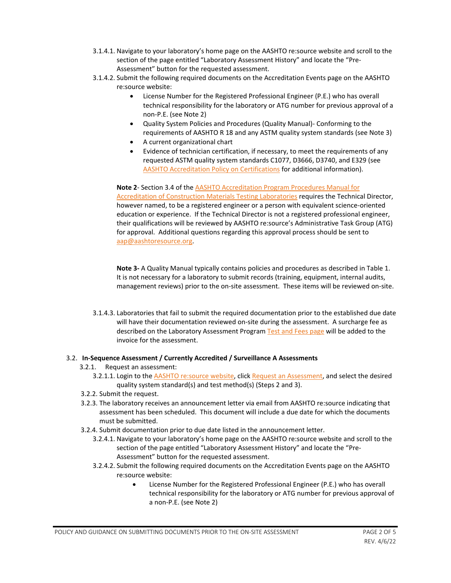- 3.1.4.1. Navigate to your laboratory's home page on the AASHTO re:source website and scroll to the section of the page entitled "Laboratory Assessment History" and locate the "Pre-Assessment" button for the requested assessment.
- 3.1.4.2. Submit the following required documents on the Accreditation Events page on the AASHTO re:source website:
	- License Number for the Registered Professional Engineer (P.E.) who has overall technical responsibility for the laboratory or ATG number for previous approval of a non-P.E. (see Note 2)
	- Quality System Policies and Procedures (Quality Manual)- Conforming to the requirements of AASHTO R 18 and any ASTM quality system standards (see Note 3)
	- A current organizational chart
	- Evidence of technician certification, if necessary, to meet the requirements of any requested ASTM quality system standards C1077, D3666, D3740, and E329 (see [AASHTO Accreditation Policy on Certifications](http://aashtoresource.org/docs/default-source/publicdocuments/aap-pandg-certification-review.pdf?sfvrsn=21) for additional information).

**Note 2**- Section 3.4 of the [AASHTO Accreditation Program Procedures Manual for](http://aashtoresource.org/docs/default-source/publicdocuments/aap-procedures-manual.pdf?sfvrsn=19)  [Accreditation of Construction Materials Testing Laboratories](http://aashtoresource.org/docs/default-source/publicdocuments/aap-procedures-manual.pdf?sfvrsn=19) requires the Technical Director, however named, to be a registered engineer or a person with equivalent science-oriented education or experience. If the Technical Director is not a registered professional engineer, their qualifications will be reviewed by AASHTO re:source's Administrative Task Group (ATG) for approval. Additional questions regarding this approval process should be sent to [aap@aashtoresource.org.](mailto:aap@aashtoresource.org)

**Note 3-** A Quality Manual typically contains policies and procedures as described in Table 1. It is not necessary for a laboratory to submit records (training, equipment, internal audits, management reviews) prior to the on-site assessment. These items will be reviewed on-site.

3.1.4.3. Laboratories that fail to submit the required documentation prior to the established due date will have their documentation reviewed on-site during the assessment. A surcharge fee as described on the Laboratory Assessment Program [Test and Fees page](http://aashtoresource.org/lap/tests-and-fees) will be added to the invoice for the assessment.

# 3.2. **In-Sequence Assessment / Currently Accredited / Surveillance A Assessments**

- 3.2.1. Request an assessment:
	- 3.2.1.1. Login to the [AASHTO re:source website,](http://www.aashtoresource.org/) clic[k Request an Assessment,](http://aashtoresource.org/lap/assessment) and select the desired quality system standard(s) and test method(s) (Steps 2 and 3).
- 3.2.2. Submit the request.
- 3.2.3. The laboratory receives an announcement letter via email from AASHTO re:source indicating that assessment has been scheduled. This document will include a due date for which the documents must be submitted.
- 3.2.4. Submit documentation prior to due date listed in the announcement letter.
	- 3.2.4.1. Navigate to your laboratory's home page on the AASHTO re:source website and scroll to the section of the page entitled "Laboratory Assessment History" and locate the "Pre-Assessment" button for the requested assessment.
	- 3.2.4.2. Submit the following required documents on the Accreditation Events page on the AASHTO re:source website:
		- License Number for the Registered Professional Engineer (P.E.) who has overall technical responsibility for the laboratory or ATG number for previous approval of a non-P.E. (see Note 2)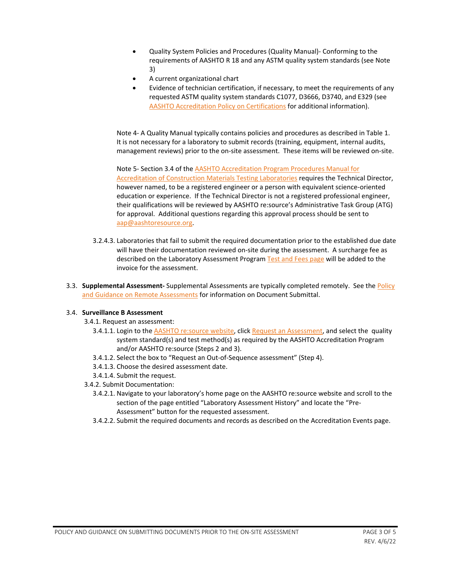- Quality System Policies and Procedures (Quality Manual)- Conforming to the requirements of AASHTO R 18 and any ASTM quality system standards (see Note 3)
- A current organizational chart
- Evidence of technician certification, if necessary, to meet the requirements of any requested ASTM quality system standards C1077, D3666, D3740, and E329 (see [AASHTO Accreditation Policy on Certifications](http://aashtoresource.org/docs/default-source/publicdocuments/aap-pandg-certification-review.pdf?sfvrsn=21) for additional information).

Note 4- A Quality Manual typically contains policies and procedures as described in Table 1. It is not necessary for a laboratory to submit records (training, equipment, internal audits, management reviews) prior to the on-site assessment. These items will be reviewed on-site.

Note 5- Section 3.4 of th[e AASHTO Accreditation Program Procedures Manual for](http://aashtoresource.org/docs/default-source/publicdocuments/aap-procedures-manual.pdf?sfvrsn=19)  [Accreditation of Construction Materials Testing Laboratories](http://aashtoresource.org/docs/default-source/publicdocuments/aap-procedures-manual.pdf?sfvrsn=19) requires the Technical Director, however named, to be a registered engineer or a person with equivalent science-oriented education or experience. If the Technical Director is not a registered professional engineer, their qualifications will be reviewed by AASHTO re:source's Administrative Task Group (ATG) for approval. Additional questions regarding this approval process should be sent to [aap@aashtoresource.org.](mailto:aap@aashtoresource.org)

- 3.2.4.3. Laboratories that fail to submit the required documentation prior to the established due date will have their documentation reviewed on-site during the assessment. A surcharge fee as described on the Laboratory Assessment Program [Test and Fees page](http://aashtoresource.org/lap/tests-and-fees) will be added to the invoice for the assessment.
- 3.3. **Supplemental Assessment-** Supplemental Assessments are typically completed remotely. See th[e Policy](http://aashtoresource.org/docs/default-source/publicdocuments/policy-and-guidance-on-remote-assessments.pdf?sfvrsn=15)  [and Guidance on Remote Assessments](http://aashtoresource.org/docs/default-source/publicdocuments/policy-and-guidance-on-remote-assessments.pdf?sfvrsn=15) for information on Document Submittal.

## 3.4. **Surveillance B Assessment**

- 3.4.1. Request an assessment:
	- 3.4.1.1. Login to the [AASHTO re:source website,](http://www.aashtoresource.org/) clic[k Request an Assessment,](http://aashtoresource.org/lap/assessment) and select the quality system standard(s) and test method(s) as required by the AASHTO Accreditation Program and/or AASHTO re:source (Steps 2 and 3).
	- 3.4.1.2. Select the box to "Request an Out-of-Sequence assessment" (Step 4).
	- 3.4.1.3. Choose the desired assessment date.
- 3.4.1.4. Submit the request.
- 3.4.2. Submit Documentation:
	- 3.4.2.1. Navigate to your laboratory's home page on the AASHTO re:source website and scroll to the section of the page entitled "Laboratory Assessment History" and locate the "Pre-Assessment" button for the requested assessment.
	- 3.4.2.2. Submit the required documents and records as described on the Accreditation Events page.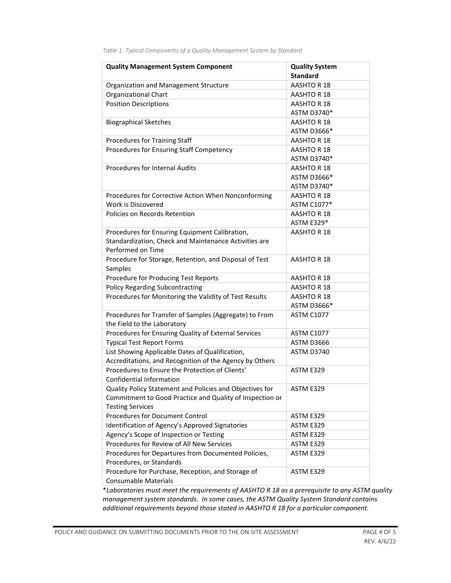| <b>Quality Management System Component</b>                                       | <b>Quality System</b><br><b>Standard</b> |
|----------------------------------------------------------------------------------|------------------------------------------|
| Organization and Management Structure                                            | AASHTO R 18                              |
| Organizational Chart                                                             | AASHTO R 18                              |
| <b>Position Descriptions</b>                                                     | AASHTO R 18                              |
|                                                                                  | ASTM D3740*                              |
| <b>Biographical Sketches</b>                                                     | AASHTO R 18                              |
|                                                                                  | ASTM D3666*                              |
| Procedures for Training Staff                                                    | AASHTO R 18                              |
| Procedures for Ensuring Staff Competency                                         | AASHTO R 18                              |
|                                                                                  | ASTM D3740*                              |
| <b>Procedures for Internal Audits</b>                                            | AASHTO R 18                              |
|                                                                                  | ASTM D3666*                              |
|                                                                                  | ASTM D3740*                              |
| Procedures for Corrective Action When Nonconforming                              | AASHTO R 18                              |
| Work is Discovered                                                               | ASTM C1077*                              |
| Policies on Records Retention                                                    | AASHTO R 18                              |
|                                                                                  | <b>ASTM E329*</b>                        |
| Procedures for Ensuring Equipment Calibration,                                   | AASHTO R 18                              |
| Standardization, Check and Maintenance Activities are                            |                                          |
| Performed on Time                                                                |                                          |
| Procedure for Storage, Retention, and Disposal of Test<br>Samples                | AASHTO R 18                              |
| Procedure for Producing Test Reports                                             | AASHTO R 18                              |
| <b>Policy Regarding Subcontracting</b>                                           | AASHTO R 18                              |
| Procedures for Monitoring the Validity of Test Results                           | AASHTO R 18                              |
|                                                                                  | ASTM D3666*                              |
| Procedures for Transfer of Samples (Aggregate) to From                           | ASTM C1077                               |
| the Field to the Laboratory                                                      |                                          |
| Procedures for Ensuring Quality of External Services                             | ASTM C1077                               |
| <b>Typical Test Report Forms</b>                                                 | ASTM D3666                               |
| List Showing Applicable Dates of Qualification,                                  | ASTM D3740                               |
| Accreditations, and Recognition of the Agency by Others                          |                                          |
| Procedures to Ensure the Protection of Clients'                                  | ASTM E329                                |
| Confidential Information                                                         |                                          |
| Quality Policy Statement and Policies and Objectives for                         | ASTM E329                                |
| Commitment to Good Practice and Quality of Inspection or                         |                                          |
| <b>Testing Services</b>                                                          |                                          |
| <b>Procedures for Document Control</b>                                           | ASTM E329                                |
| Identification of Agency's Approved Signatories                                  | ASTM E329                                |
| Agency's Scope of Inspection or Testing                                          | ASTM E329                                |
| Procedures for Review of All New Services                                        | ASTM E329                                |
| Procedures for Departures from Documented Policies,                              | ASTM E329                                |
| Procedures, or Standards                                                         |                                          |
| Procedure for Purchase, Reception, and Storage of<br><b>Consumable Materials</b> | ASTM E329                                |

*Table 1: Typical Components of a Quality Management System by Standard*

\**Laboratories must meet the requirements of AASHTO R 18 as a prerequisite to any ASTM quality management system standards. In some cases, the ASTM Quality System Standard contains additional requirements beyond those stated in AASHTO R 18 for a particular component.*